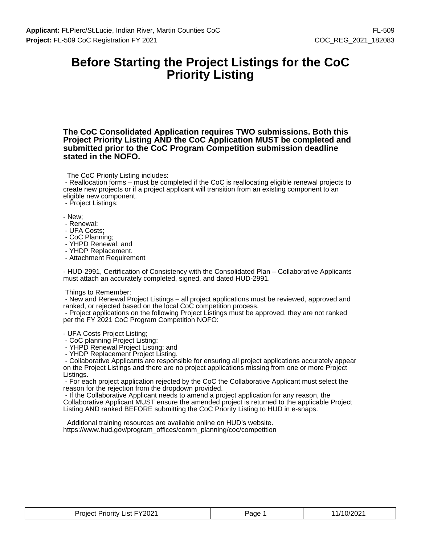### **Before Starting the Project Listings for the CoC Priority Listing**

**The CoC Consolidated Application requires TWO submissions. Both this Project Priority Listing AND the CoC Application MUST be completed and submitted prior to the CoC Program Competition submission deadline stated in the NOFO.**

The CoC Priority Listing includes:

 - Reallocation forms – must be completed if the CoC is reallocating eligible renewal projects to create new projects or if a project applicant will transition from an existing component to an eligible new component.

- Project Listings:

- New;

- Renewal;
- UFA Costs;
- CoC Planning;
- YHPD Renewal; and
- YHDP Replacement.
- Attachment Requirement

- HUD-2991, Certification of Consistency with the Consolidated Plan – Collaborative Applicants must attach an accurately completed, signed, and dated HUD-2991.

#### Things to Remember:

 - New and Renewal Project Listings – all project applications must be reviewed, approved and ranked, or rejected based on the local CoC competition process.

 - Project applications on the following Project Listings must be approved, they are not ranked per the FY 2021 CoC Program Competition NOFO:

- UFA Costs Project Listing;

- CoC planning Project Listing;

- YHPD Renewal Project Listing; and

- YHDP Replacement Project Listing.

 - Collaborative Applicants are responsible for ensuring all project applications accurately appear on the Project Listings and there are no project applications missing from one or more Project Listings.

 - For each project application rejected by the CoC the Collaborative Applicant must select the reason for the rejection from the dropdown provided.

 - If the Collaborative Applicant needs to amend a project application for any reason, the Collaborative Applicant MUST ensure the amended project is returned to the applicable Project Listing AND ranked BEFORE submitting the CoC Priority Listing to HUD in e-snaps.

 Additional training resources are available online on HUD's website. https://www.hud.gov/program\_offices/comm\_planning/coc/competition

| List FY2021<br>Project<br>` Prioritv .<br>______<br>______ | Page | 10/202'<br>. .<br>$\cdots$ |
|------------------------------------------------------------|------|----------------------------|
|------------------------------------------------------------|------|----------------------------|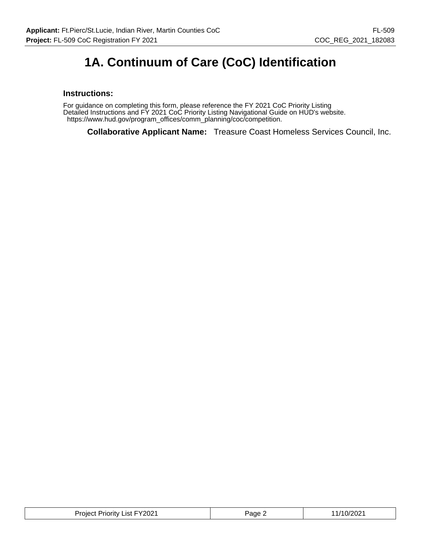# **1A. Continuum of Care (CoC) Identification**

### **Instructions:**

For guidance on completing this form, please reference the FY 2021 CoC Priority Listing Detailed Instructions and FY 2021 CoC Priority Listing Navigational Guide on HUD's website. https://www.hud.gov/program\_offices/comm\_planning/coc/competition.

**Collaborative Applicant Name:** Treasure Coast Homeless Services Council, Inc.

| Project Priority List FY2021 | Page 2 | 11/10/2021 |
|------------------------------|--------|------------|
|------------------------------|--------|------------|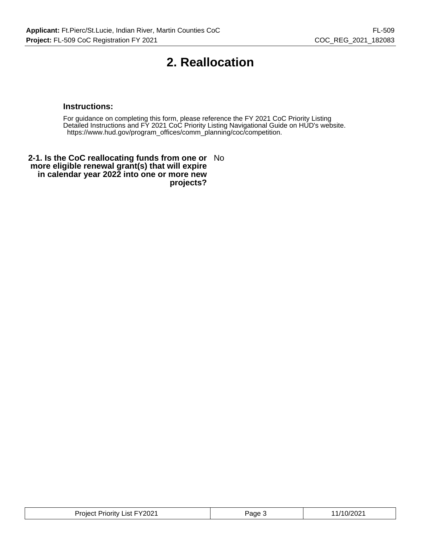# **2. Reallocation**

### **Instructions:**

For guidance on completing this form, please reference the FY 2021 CoC Priority Listing Detailed Instructions and FY 2021 CoC Priority Listing Navigational Guide on HUD's website. https://www.hud.gov/program\_offices/comm\_planning/coc/competition.

**2-1. Is the CoC reallocating funds from one or** No **more eligible renewal grant(s) that will expire in calendar year 2022 into one or more new projects?**

| – ∨ΩOQ4 –<br>.<br>.ıst.<br>'ane<br>.oler<br><b>HOLID</b><br>∠∪∠<br><b>U</b><br>.UZ<br>. |
|-----------------------------------------------------------------------------------------|
|-----------------------------------------------------------------------------------------|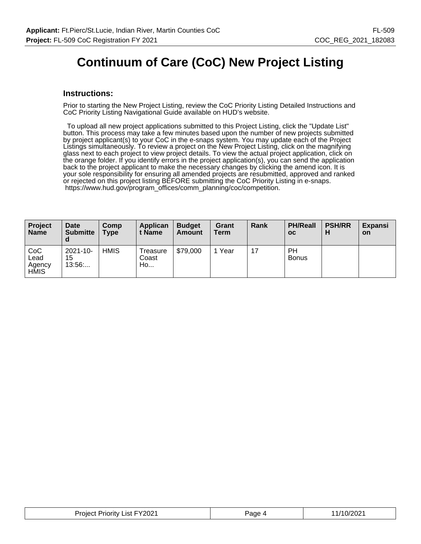# **Continuum of Care (CoC) New Project Listing**

### **Instructions:**

Prior to starting the New Project Listing, review the CoC Priority Listing Detailed Instructions and CoC Priority Listing Navigational Guide available on HUD's website.

 To upload all new project applications submitted to this Project Listing, click the "Update List" button. This process may take a few minutes based upon the number of new projects submitted by project applicant(s) to your CoC in the e-snaps system. You may update each of the Project Listings simultaneously. To review a project on the New Project Listing, click on the magnifying glass next to each project to view project details. To view the actual project application, click on the orange folder. If you identify errors in the project application(s), you can send the application back to the project applicant to make the necessary changes by clicking the amend icon. It is your sole responsibility for ensuring all amended projects are resubmitted, approved and ranked or rejected on this project listing BEFORE submitting the CoC Priority Listing in e-snaps. https://www.hud.gov/program\_offices/comm\_planning/coc/competition.

| <b>Project</b><br><b>Name</b>        | <b>Date</b><br><b>Submitte</b><br>d | Comp<br><b>Type</b> | Applican<br>t Name      | <b>Budget</b><br>Amount | Grant<br><b>Term</b> | Rank | <b>PH/Reall</b><br><b>OC</b> | <b>PSH/RR</b><br>н | <b>Expansi</b><br><b>on</b> |
|--------------------------------------|-------------------------------------|---------------------|-------------------------|-------------------------|----------------------|------|------------------------------|--------------------|-----------------------------|
| CoC<br>Lead<br>Agency<br><b>HMIS</b> | $2021 - 10 -$<br>15<br>13:56:       | <b>HMIS</b>         | Treasure<br>Coast<br>Ho | \$79,000                | Year                 | 17   | PH<br><b>Bonus</b>           |                    |                             |

| Project Priority List FY2021 | Page 4 | /10/2021 |
|------------------------------|--------|----------|
|------------------------------|--------|----------|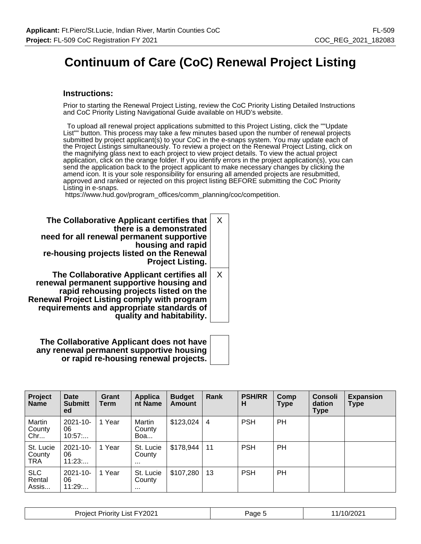# **Continuum of Care (CoC) Renewal Project Listing**

### **Instructions:**

Prior to starting the Renewal Project Listing, review the CoC Priority Listing Detailed Instructions and CoC Priority Listing Navigational Guide available on HUD's website.

 To upload all renewal project applications submitted to this Project Listing, click the ""Update List"" button. This process may take a few minutes based upon the number of renewal projects submitted by project applicant(s) to your CoC in the e-snaps system. You may update each of the Project Listings simultaneously. To review a project on the Renewal Project Listing, click on the magnifying glass next to each project to view project details. To view the actual project application, click on the orange folder. If you identify errors in the project application(s), you can send the application back to the project applicant to make necessary changes by clicking the amend icon. It is your sole responsibility for ensuring all amended projects are resubmitted, approved and ranked or rejected on this project listing BEFORE submitting the CoC Priority Listing in e-snaps.

https://www.hud.gov/program\_offices/comm\_planning/coc/competition.

| The Collaborative Applicant certifies that<br>there is a demonstrated<br>need for all renewal permanent supportive<br>housing and rapid<br>re-housing projects listed on the Renewal<br><b>Project Listing.</b>                                                 | X        |
|-----------------------------------------------------------------------------------------------------------------------------------------------------------------------------------------------------------------------------------------------------------------|----------|
| The Collaborative Applicant certifies all<br>renewal permanent supportive housing and<br>rapid rehousing projects listed on the<br><b>Renewal Project Listing comply with program</b><br>requirements and appropriate standards of<br>quality and habitability. | $\times$ |

**The Collaborative Applicant does not have any renewal permanent supportive housing or rapid re-housing renewal projects.**

| Project<br><b>Name</b>        | <b>Date</b><br><b>Submitt</b><br>ed | Grant<br>Term | Applica<br>nt Name                          | <b>Budget</b><br><b>Amount</b> | Rank | <b>PSH/RR</b><br>н | Comp<br>Type | <b>Consoli</b><br>dation<br><b>Type</b> | <b>Expansion</b><br><b>Type</b> |
|-------------------------------|-------------------------------------|---------------|---------------------------------------------|--------------------------------|------|--------------------|--------------|-----------------------------------------|---------------------------------|
| Martin<br>County<br>Chr       | $2021 - 10 -$<br>06<br>10:57        | 1 Year        | Martin<br>County<br>Boa                     | \$123,024                      | -4   | <b>PSH</b>         | <b>PH</b>    |                                         |                                 |
| St. Lucie<br>County<br>TRA    | 2021-10-<br>06<br>11:23             | 1 Year        | St. Lucie<br>County<br>$\cdots$             | \$178,944                      | 11   | <b>PSH</b>         | <b>PH</b>    |                                         |                                 |
| <b>SLC</b><br>Rental<br>Assis | $2021 - 10 -$<br>06<br>11:29        | 1 Year        | St. Lucie<br>County<br>$\sim$ $\sim$ $\sim$ | \$107,280                      | 13   | <b>PSH</b>         | <b>PH</b>    |                                         |                                 |

| List FY2021<br>. Priority<br>Project <sup>r</sup> | Page : | /10/2021 |
|---------------------------------------------------|--------|----------|
|---------------------------------------------------|--------|----------|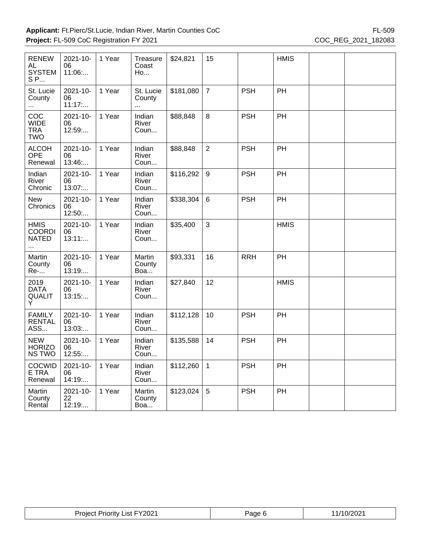| <b>RENEW</b><br>AL<br><b>SYSTEM</b><br>S P     | 2021-10-<br>06<br>11:06:      | 1 Year | Treasure<br>Coast<br>Ho  | \$24,821  | 15             |            | <b>HMIS</b> |  |
|------------------------------------------------|-------------------------------|--------|--------------------------|-----------|----------------|------------|-------------|--|
| St. Lucie<br>County<br>                        | $2021 - 10 -$<br>06<br>11:17  | 1 Year | St. Lucie<br>County<br>. | \$181,080 | $\overline{7}$ | <b>PSH</b> | PH          |  |
| COC<br><b>WIDE</b><br><b>TRA</b><br><b>TWO</b> | 2021-10-<br>06<br>12:59:      | 1 Year | Indian<br>River<br>Coun  | \$88,848  | 8              | <b>PSH</b> | PH          |  |
| <b>ALCOH</b><br><b>OPE</b><br>Renewal          | $2021 - 10 -$<br>06<br>13:46  | 1 Year | Indian<br>River<br>Coun  | \$88,848  | $\overline{2}$ | <b>PSH</b> | <b>PH</b>   |  |
| Indian<br>River<br>Chronic                     | $2021 - 10 -$<br>06<br>13:07  | 1 Year | Indian<br>River<br>Coun  | \$116,292 | 9              | <b>PSH</b> | <b>PH</b>   |  |
| <b>New</b><br>Chronics                         | $2021 - 10 -$<br>06<br>12:50: | 1 Year | Indian<br>River<br>Coun  | \$338,304 | 6              | <b>PSH</b> | PH          |  |
| <b>HMIS</b><br><b>COORDI</b><br><b>NATED</b>   | $2021 - 10 -$<br>06<br>13:11  | 1 Year | Indian<br>River<br>Coun  | \$35,400  | 3              |            | <b>HMIS</b> |  |
| Martin<br>County<br>Re-                        | $2021 - 10 -$<br>06<br>13:19  | 1 Year | Martin<br>County<br>Boa  | \$93,331  | 16             | <b>RRH</b> | <b>PH</b>   |  |
| 2019<br><b>DATA</b><br><b>QUALIT</b><br>Y      | 2021-10-<br>06<br>13:15       | 1 Year | Indian<br>River<br>Coun  | \$27,840  | 12             |            | <b>HMIS</b> |  |
| <b>FAMILY</b><br><b>RENTAL</b><br>ASS          | 2021-10-<br>06<br>13:03       | 1 Year | Indian<br>River<br>Coun  | \$112,128 | 10             | <b>PSH</b> | <b>PH</b>   |  |
| <b>NEW</b><br><b>HORIZO</b><br><b>NS TWO</b>   | 2021-10-<br>06<br>12:55       | 1 Year | Indian<br>River<br>Coun  | \$135,588 | 14             | <b>PSH</b> | <b>PH</b>   |  |
| <b>COCWID</b><br>E TRA<br>Renewal              | 2021-10-<br>06<br>14:19:      | 1 Year | Indian<br>River<br>Coun  | \$112,260 | $\mathbf{1}$   | <b>PSH</b> | <b>PH</b>   |  |
| Martin<br>County<br>Rental                     | $2021 - 10 -$<br>22<br>12:19  | 1 Year | Martin<br>County<br>Boa  | \$123,024 | 5              | <b>PSH</b> | <b>PH</b>   |  |

| <b>Project Priority List FY2021</b> | Paɑe 6 | I/10/2021 |
|-------------------------------------|--------|-----------|
|-------------------------------------|--------|-----------|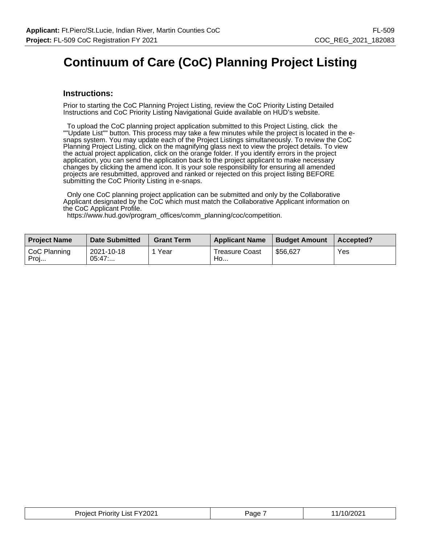# **Continuum of Care (CoC) Planning Project Listing**

### **Instructions:**

Prior to starting the CoC Planning Project Listing, review the CoC Priority Listing Detailed Instructions and CoC Priority Listing Navigational Guide available on HUD's website.

 To upload the CoC planning project application submitted to this Project Listing, click the ""Update List"" button. This process may take a few minutes while the project is located in the esnaps system. You may update each of the Project Listings simultaneously. To review the CoC Planning Project Listing, click on the magnifying glass next to view the project details. To view the actual project application, click on the orange folder. If you identify errors in the project application, you can send the application back to the project applicant to make necessary changes by clicking the amend icon. It is your sole responsibility for ensuring all amended projects are resubmitted, approved and ranked or rejected on this project listing BEFORE submitting the CoC Priority Listing in e-snaps.

 Only one CoC planning project application can be submitted and only by the Collaborative Applicant designated by the CoC which must match the Collaborative Applicant information on the CoC Applicant Profile.

https://www.hud.gov/program\_offices/comm\_planning/coc/competition.

| <b>Project Name</b>  | <b>Date Submitted</b> | <b>Grant Term</b> | <b>Applicant Name</b> | <b>Budget Amount</b> | Accepted? |
|----------------------|-----------------------|-------------------|-----------------------|----------------------|-----------|
| CoC Planning<br>Proj | 2021-10-18<br>05:47   | Year              | Treasure Coast<br>Ho  | \$56.627             | Yes       |

| <b>Project Priority List FY2021</b> | Page | 1/10/2021 |
|-------------------------------------|------|-----------|
|-------------------------------------|------|-----------|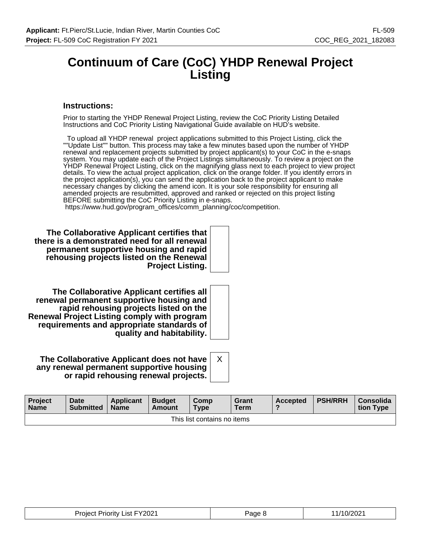### **Continuum of Care (CoC) YHDP Renewal Project Listing**

### **Instructions:**

Prior to starting the YHDP Renewal Project Listing, review the CoC Priority Listing Detailed Instructions and CoC Priority Listing Navigational Guide available on HUD's website.

 To upload all YHDP renewal project applications submitted to this Project Listing, click the ""Update List"" button. This process may take a few minutes based upon the number of YHDP renewal and replacement projects submitted by project applicant(s) to your CoC in the e-snaps system. You may update each of the Project Listings simultaneously. To review a project on the YHDP Renewal Project Listing, click on the magnifying glass next to each project to view project details. To view the actual project application, click on the orange folder. If you identify errors in the project application(s), you can send the application back to the project applicant to make necessary changes by clicking the amend icon. It is your sole responsibility for ensuring all amended projects are resubmitted, approved and ranked or rejected on this project listing BEFORE submitting the CoC Priority Listing in e-snaps.

https://www.hud.gov/program\_offices/comm\_planning/coc/competition.

**The Collaborative Applicant certifies that there is a demonstrated need for all renewal permanent supportive housing and rapid rehousing projects listed on the Renewal Project Listing.**

**The Collaborative Applicant certifies all renewal permanent supportive housing and rapid rehousing projects listed on the Renewal Project Listing comply with program requirements and appropriate standards of quality and habitability.**

**The Collaborative Applicant does not have any renewal permanent supportive housing or rapid rehousing renewal projects.**

| <b>Project</b><br><b>Name</b> | Date<br><b>Submitted</b> | <b>Applicant</b><br><b>Name</b> | <b>Budget</b><br>Amount | Comp<br><b>Type</b> | Grant<br><b>Term</b> | <b>Accepted</b> | <b>PSH/RRH</b> | <b>Consolida</b><br>tion Type |
|-------------------------------|--------------------------|---------------------------------|-------------------------|---------------------|----------------------|-----------------|----------------|-------------------------------|
| This list contains no items   |                          |                                 |                         |                     |                      |                 |                |                               |

X

| EV2021<br>Pronr<br>.ıst<br>. JOIP"<br>ΠΟΠΙΝ<br>ິ∠∪∠∴ | 'age | ംഗാറെ :<br>. ., |
|------------------------------------------------------|------|-----------------|
|------------------------------------------------------|------|-----------------|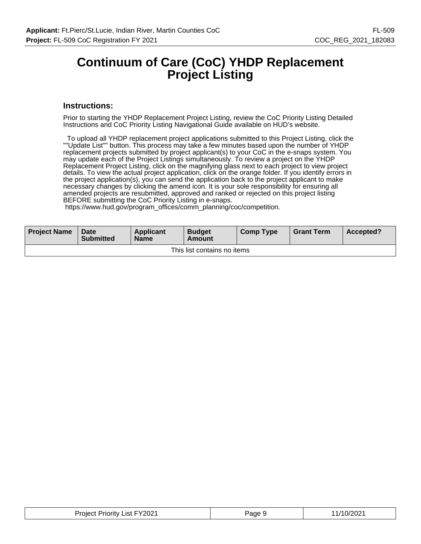### **Continuum of Care (CoC) YHDP Replacement Project Listing**

### **Instructions:**

Prior to starting the YHDP Replacement Project Listing, review the CoC Priority Listing Detailed Instructions and CoC Priority Listing Navigational Guide available on HUD's website.

 To upload all YHDP replacement project applications submitted to this Project Listing, click the ""Update List"" button. This process may take a few minutes based upon the number of YHDP replacement projects submitted by project applicant(s) to your CoC in the e-snaps system. You may update each of the Project Listings simultaneously. To review a project on the YHDP Replacement Project Listing, click on the magnifying glass next to each project to view project details. To view the actual project application, click on the orange folder. If you identify errors in the project application(s), you can send the application back to the project applicant to make necessary changes by clicking the amend icon. It is your sole responsibility for ensuring all amended projects are resubmitted, approved and ranked or rejected on this project listing BEFORE submitting the CoC Priority Listing in e-snaps.

https://www.hud.gov/program\_offices/comm\_planning/coc/competition.

| <b>Project Name</b>         | Date<br><b>Submitted</b> | Applicant<br><b>Name</b> | <b>Budget</b><br>Amount | <b>Comp Type</b> | <b>Grant Term</b> | Accepted? |
|-----------------------------|--------------------------|--------------------------|-------------------------|------------------|-------------------|-----------|
| This list contains no items |                          |                          |                         |                  |                   |           |

| Project Priority List FY2021 | Page ' | 11/10/2021 |
|------------------------------|--------|------------|
|------------------------------|--------|------------|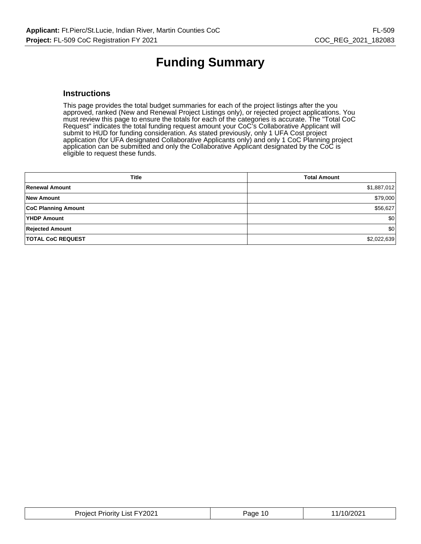# **Funding Summary**

#### **Instructions**

This page provides the total budget summaries for each of the project listings after the you approved, ranked (New and Renewal Project Listings only), or rejected project applications. You must review this page to ensure the totals for each of the categories is accurate. The "Total CoC Request" indicates the total funding request amount your CoC's Collaborative Applicant will submit to HUD for funding consideration. As stated previously, only 1 UFA Cost project application (for UFA designated Collaborative Applicants only) and only 1 CoC Planning project application can be submitted and only the Collaborative Applicant designated by the CoC is eligible to request these funds.

| <b>Title</b>               | <b>Total Amount</b> |
|----------------------------|---------------------|
| <b>Renewal Amount</b>      | \$1,887,012         |
| <b>New Amount</b>          | \$79,000            |
| <b>CoC Planning Amount</b> | \$56,627            |
| <b>YHDP Amount</b>         | \$0                 |
| <b>Rejected Amount</b>     | \$0                 |
| <b>TOTAL CoC REQUEST</b>   | \$2,022,639         |

| Project Priority List FY2021 | Page 10 | 11/10/2021 |
|------------------------------|---------|------------|
|------------------------------|---------|------------|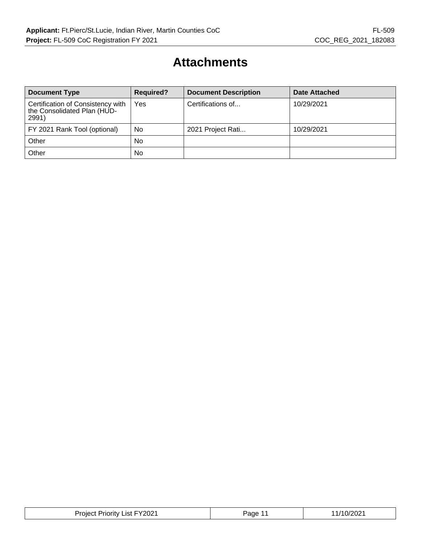# **Attachments**

| <b>Document Type</b>                                                      | <b>Required?</b> | <b>Document Description</b> | Date Attached |
|---------------------------------------------------------------------------|------------------|-----------------------------|---------------|
| Certification of Consistency with<br>the Consolidated Plan (HUD-<br>2991) | Yes              | Certifications of           | 10/29/2021    |
| FY 2021 Rank Tool (optional)                                              | No               | 2021 Project Rati           | 10/29/2021    |
| Other                                                                     | No               |                             |               |
| Other                                                                     | No               |                             |               |

| FY2021<br>Proiect F<br>: Priority .<br>List F<br>the contract of the contract of the contract of the contract of the contract of the contract of the contract of | Page<br>. . | /10/2021<br>I A |
|------------------------------------------------------------------------------------------------------------------------------------------------------------------|-------------|-----------------|
|------------------------------------------------------------------------------------------------------------------------------------------------------------------|-------------|-----------------|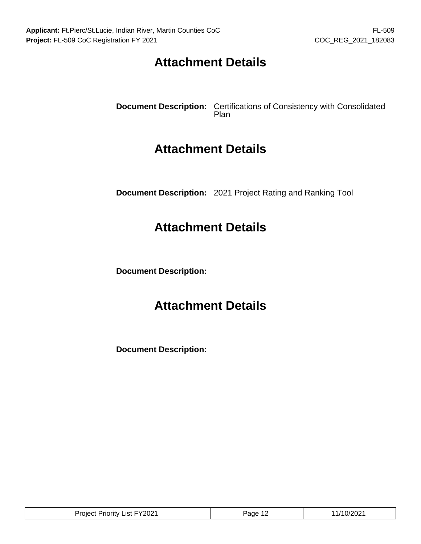# **Attachment Details**

**Document Description:** Certifications of Consistency with Consolidated Plan

# **Attachment Details**

**Document Description:** 2021 Project Rating and Ranking Tool

# **Attachment Details**

**Document Description:**

# **Attachment Details**

**Document Description:**

| Project Priority List FY2021 | Page 1 <sup>o</sup> | 11/10/2021 |
|------------------------------|---------------------|------------|
|------------------------------|---------------------|------------|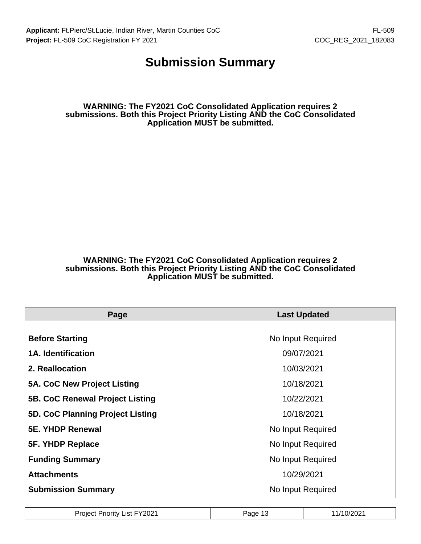# **Submission Summary**

**WARNING: The FY2021 CoC Consolidated Application requires 2 submissions. Both this Project Priority Listing AND the CoC Consolidated Application MUST be submitted.**

### **WARNING: The FY2021 CoC Consolidated Application requires 2 submissions. Both this Project Priority Listing AND the CoC Consolidated Application MUST be submitted.**

| Page                               | <b>Last Updated</b> |  |  |
|------------------------------------|---------------------|--|--|
|                                    |                     |  |  |
| <b>Before Starting</b>             | No Input Required   |  |  |
| <b>1A. Identification</b>          | 09/07/2021          |  |  |
| 2. Reallocation                    | 10/03/2021          |  |  |
| <b>5A. CoC New Project Listing</b> | 10/18/2021          |  |  |
| 5B. CoC Renewal Project Listing    | 10/22/2021          |  |  |
| 5D. CoC Planning Project Listing   | 10/18/2021          |  |  |
| <b>5E. YHDP Renewal</b>            | No Input Required   |  |  |
| 5F. YHDP Replace                   | No Input Required   |  |  |
| <b>Funding Summary</b>             | No Input Required   |  |  |
| <b>Attachments</b>                 | 10/29/2021          |  |  |
| <b>Submission Summary</b>          | No Input Required   |  |  |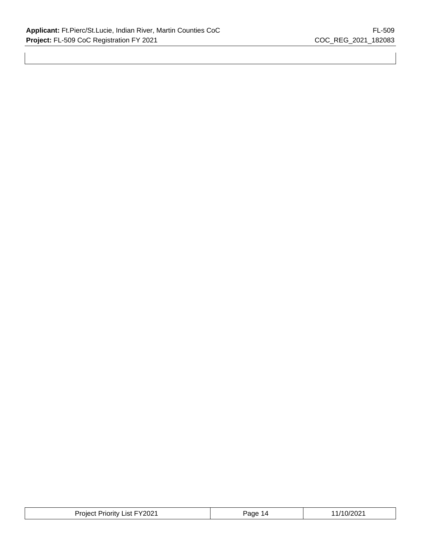| $-1$ $\sqrt{200}$<br>Project<br>∟ıst ′<br>.iority<br>:UZ | аас | ″∪∠ |
|----------------------------------------------------------|-----|-----|
|----------------------------------------------------------|-----|-----|

 $\mathbb{L}$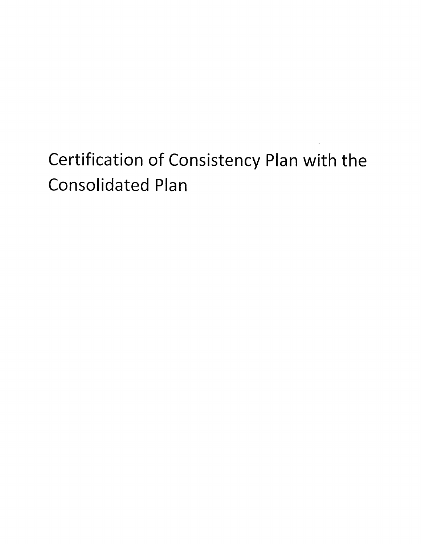# Certification of Consistency Plan with the **Consolidated Plan**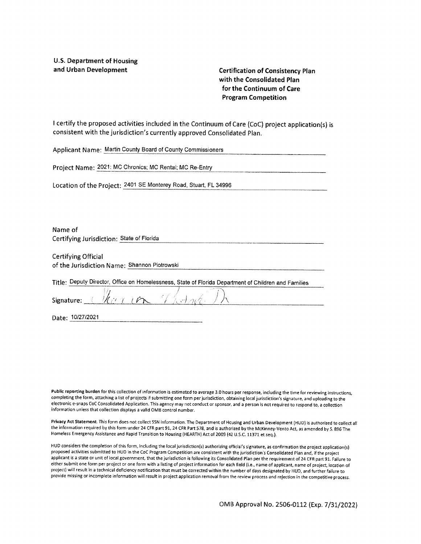**Certification of Consistency Plan** with the Consolidated Plan for the Continuum of Care **Program Competition** 

I certify the proposed activities included in the Continuum of Care (CoC) project application(s) is consistent with the jurisdiction's currently approved Consolidated Plan.

| Applicant Name: Martin County Board of County Commissioners |
|-------------------------------------------------------------|
|                                                             |
|                                                             |

Project Name: 2021: MC Chronics; MC Rental; MC Re-Entry

Location of the Project: 2401 SE Monterey Road, Stuart, FL 34996

Name of Certifying Jurisdiction: State of Florida

**Certifying Official** of the Jurisdiction Name: Shannon Piotrowski

Title: Deputy Director, Office on Homelessness, State of Florida Department of Children and Families

| Signature:<br>M<br><b>Section</b><br><b>COMPANY</b><br>________ | <b>CONTRACTOR</b><br>Total and Suit advanced Market and agreement and the annual |
|-----------------------------------------------------------------|----------------------------------------------------------------------------------|
|-----------------------------------------------------------------|----------------------------------------------------------------------------------|

Date: 10/27/2021

Public reporting burden for this collection of information is estimated to average 3.0 hours per response, including the time for reviewing instructions, completing the form, attaching a list of projects if submitting one form per jurisdiction, obtaining local jurisdiction's signature, and uploading to the electronic e-snaps CoC Consolidated Application. This agency may not conduct or sponsor, and a person is not required to respond to, a collection information unless that collection displays a valid OMB control number.

Privacy Act Statement. This form does not collect SSN information. The Department of Housing and Urban Development (HUD) is authorized to collect all the information required by this form under 24 CFR part 91, 24 CFR Part 578, and is authorized by the McKinney-Vento Act, as amended by S. 896 The Homeless Emergency Assistance and Rapid Transition to Housing (HEARTH) Act of 2009 (42 U.S.C. 11371 et seq.).

HUD considers the completion of this form, including the local jurisdiction(s) authorizing official's signature, as confirmation the project application(s) proposed activities submitted to HUD in the CoC Program Competition are consistent with the jurisdiction's Consolidated Plan and, if the project applicant is a state or unit of local government, that the jurisdiction is following its Consolidated Plan per the requirement of 24 CFR part 91. Failure to either submit one form per project or one form with a listing of project information for each field (i.e., name of applicant, name of project, location of project) will result in a technical deficiency notification that must be corrected within the number of days designated by HUD, and further failure to provide missing or incomplete information will result in project application removal from the review process and rejection in the competitive process.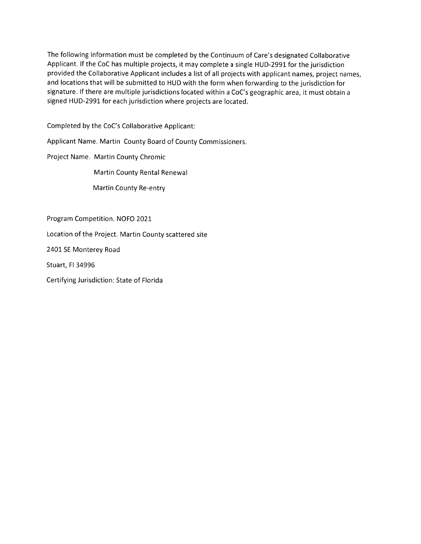The following information must be completed by the Continuum of Care's designated Collaborative Applicant. If the CoC has multiple projects, it may complete a single HUD-2991 for the jurisdiction provided the Collaborative Applicant includes a list of all projects with applicant names, project names, and locations that will be submitted to HUD with the form when forwarding to the jurisdiction for signature. If there are multiple jurisdictions located within a CoC's geographic area, it must obtain a signed HUD-2991 for each jurisdiction where projects are located.

Completed by the CoC's Collaborative Applicant:

Applicant Name. Martin County Board of County Commissioners.

Project Name. Martin County Chromic

**Martin County Rental Renewal** 

Martin County Re-entry

Program Competition. NOFO 2021

Location of the Project. Martin County scattered site

2401 SE Monterey Road

**Stuart, FI 34996** 

Certifying Jurisdiction: State of Florida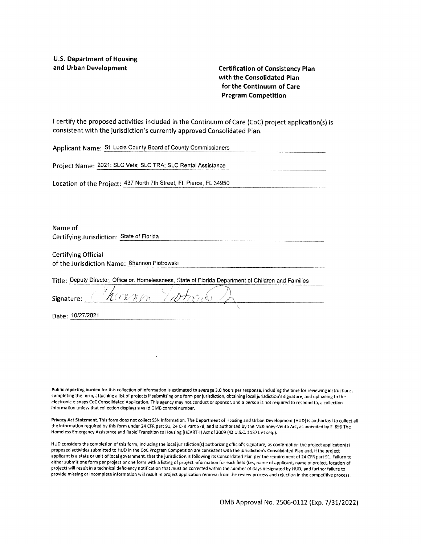**Certification of Consistency Plan** with the Consolidated Plan for the Continuum of Care **Program Competition** 

I certify the proposed activities included in the Continuum of Care (CoC) project application(s) is consistent with the jurisdiction's currently approved Consolidated Plan.

Applicant Name: St. Lucie County Board of County Commissioners

Project Name: 2021: SLC Vets; SLC TRA; SLC Rental Assistance

Location of the Project: 437 North 7th Street, Ft. Pierce, FL 34950

Name of Certifying Jurisdiction: State of Florida

Certifying Official of the Jurisdiction Name: Shannon Piotrowski

Title: Deputy Director, Office on Homelessness, State of Florida Department of Children and Families

Date: 10/27/2021

Signature:

Public reporting burden for this collection of information is estimated to average 3.0 hours per response, including the time for reviewing instructions, completing the form, attaching a list of projects if submitting one form per jurisdiction, obtaining local jurisdiction's signature, and uploading to the electronic e-snaps CoC Consolidated Application. This agency may not conduct or sponsor, and a person is not required to respond to, a collection information unless that collection displays a valid OMB control number.

Privacy Act Statement. This form does not collect SSN information. The Department of Housing and Urban Development (HUD) is authorized to collect all the information required by this form under 24 CFR part 91, 24 CFR Part 578, and is authorized by the McKinney-Vento Act, as amended by S. 896 The Homeless Emergency Assistance and Rapid Transition to Housing (HEARTH) Act of 2009 (42 U.S.C. 11371 et seq.).

HUD considers the completion of this form, including the local jurisdiction(s) authorizing official's signature, as confirmation the project application(s) proposed activities submitted to HUD in the CoC Program Competition are consistent with the jurisdiction's Consolidated Plan and, if the project applicant is a state or unit of local government, that the jurisdiction is following its Consolidated Plan per the requirement of 24 CFR part 91. Failure to either submit one form per project or one form with a listing of project information for each field (i.e., name of applicant, name of project, location of project) will result in a technical deficiency notification that must be corrected within the number of days designated by HUD, and further failure to provide missing or incomplete information will result in project application removal from the review process and rejection in the competitive process.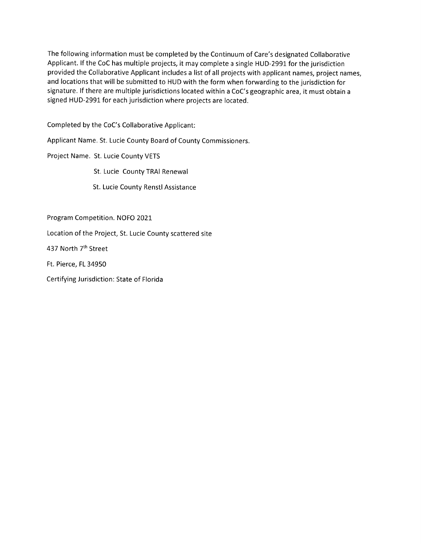The following information must be completed by the Continuum of Care's designated Collaborative Applicant. If the CoC has multiple projects, it may complete a single HUD-2991 for the jurisdiction provided the Collaborative Applicant includes a list of all projects with applicant names, project names, and locations that will be submitted to HUD with the form when forwarding to the jurisdiction for signature. If there are multiple jurisdictions located within a CoC's geographic area, it must obtain a signed HUD-2991 for each jurisdiction where projects are located.

Completed by the CoC's Collaborative Applicant:

Applicant Name. St. Lucie County Board of County Commissioners.

Project Name. St. Lucie County VETS

St. Lucie County TRAI Renewal

St. Lucie County Renstl Assistance

Program Competition. NOFO 2021

Location of the Project, St. Lucie County scattered site

437 North 7<sup>th</sup> Street

Ft. Pierce, FL 34950

Certifying Jurisdiction: State of Florida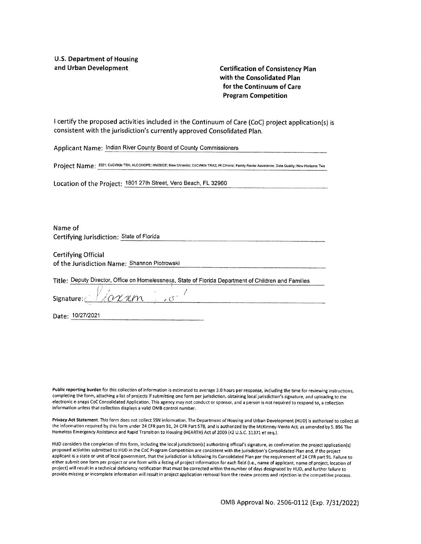**Certification of Consistency Plan** with the Consolidated Plan for the Continuum of Care **Program Competition** 

I certify the proposed activities included in the Continuum of Care (CoC) project application(s) is consistent with the jurisdiction's currently approved Consolidated Plan.

Applicant Name: Indian River County Board of County Commissioners

Project Name: 2021: COCWide TRA; ALCOHOPE; HMIS/CE; New Chronics; CoCWide TRA2; IR Chronic; Family Rental Assistance; Data Quality: New Horizons Two

Location of the Project: 1801 27th Street, Vero Beach, FL 32960

Name of Certifying Jurisdiction: State of Florida

Certifying Official of the Jurisdiction Name: Shannon Piotrowski

Title: Deputy Director, Office on Homelessness, State of Florida Department of Children and Families

*oxnon* Signature:

Date: 10/27/2021

Public reporting burden for this collection of information is estimated to average 3.0 hours per response, including the time for reviewing instructions, completing the form, attaching a list of projects if submitting one form per jurisdiction, obtaining local jurisdiction's signature, and uploading to the electronic e-snaps CoC Consolidated Application. This agency may not conduct or sponsor, and a person is not required to respond to, a collection information unless that collection displays a valid OMB control number.

Privacy Act Statement. This form does not collect SSN information. The Department of Housing and Urban Development (HUD) is authorized to collect all the information required by this form under 24 CFR part 91, 24 CFR Part 578, and is authorized by the McKinney-Vento Act, as amended by 5. 896 The Homeless Emergency Assistance and Rapid Transition to Housing (HEARTH) Act of 2009 (42 U.S.C. 11371 et seq.).

HUD considers the completion of this form, including the local jurisdiction(s) authorizing official's signature, as confirmation the project application(s) proposed activities submitted to HUD in the CoC Program Competition are consistent with the jurisdiction's Consolidated Plan and, if the project applicant is a state or unit of local government, that the jurisdiction is following its Consolidated Plan per the requirement of 24 CFR part 91. Failure to either submit one form per project or one form with a listing of project information for each field (i.e., name of applicant, name of project, location of project) will result in a technical deficiency notification that must be corrected within the number of days designated by HUD, and further failure to provide missing or incomplete information will result in project application removal from the review process and rejection in the competitive process.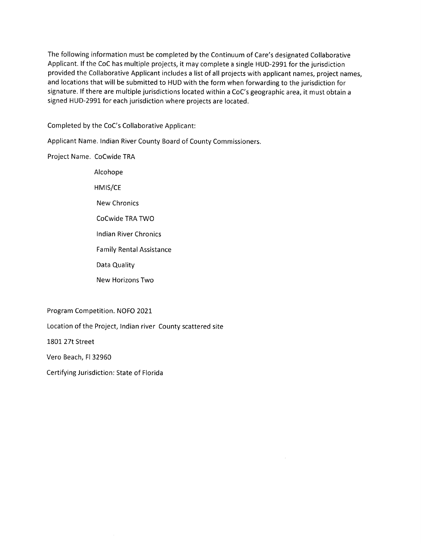The following information must be completed by the Continuum of Care's designated Collaborative Applicant. If the CoC has multiple projects, it may complete a single HUD-2991 for the jurisdiction provided the Collaborative Applicant includes a list of all projects with applicant names, project names, and locations that will be submitted to HUD with the form when forwarding to the jurisdiction for signature. If there are multiple jurisdictions located within a CoC's geographic area, it must obtain a signed HUD-2991 for each jurisdiction where projects are located.

 $\bar{z}$ 

Completed by the CoC's Collaborative Applicant:

Applicant Name. Indian River County Board of County Commissioners.

Project Name. CoCwide TRA

Alcohope HMIS/CE **New Chronics** CoCwide TRA TWO **Indian River Chronics Family Rental Assistance** Data Quality New Horizons Two

Program Competition. NOFO 2021

Location of the Project, Indian river County scattered site

1801 27t Street

Vero Beach, Fl 32960

Certifying Jurisdiction: State of Florida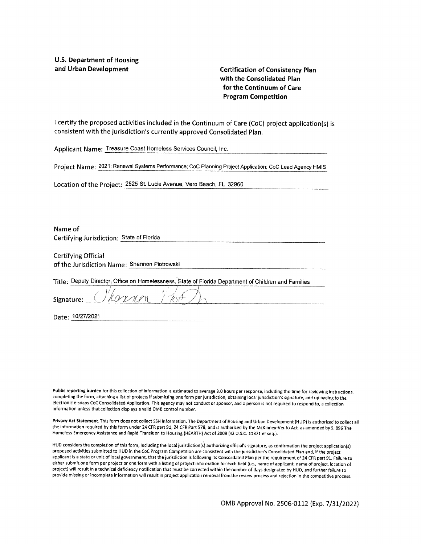**U.S. Department of Housing** and Urban Development

**Certification of Consistency Plan** with the Consolidated Plan for the Continuum of Care **Program Competition** 

I certify the proposed activities included in the Continuum of Care (CoC) project application(s) is consistent with the jurisdiction's currently approved Consolidated Plan.

Applicant Name: Treasure Coast Homeless Services Council, Inc.

Project Name: 2021: Renewal Systems Performance; CoC Planning Project Application; CoC Lead Agency HMIS

Location of the Project: 2525 St. Lucie Avenue, Vero Beach, FL 32960

Name of Certifying Jurisdiction: State of Florida

Certifying Official of the Jurisdiction Name: Shannon Piotrowski

Title: Deputy Director, Office on Homelessness, State of Florida Department of Children and Families

Signature:

Date: 10/27/2021

Public reporting burden for this collection of information is estimated to average 3.0 hours per response, including the time for reviewing instructions, completing the form, attaching a list of projects if submitting one form per jurisdiction, obtaining local jurisdiction's signature, and uploading to the electronic e-snaps CoC Consolidated Application. This agency may not conduct or sponsor, and a person is not required to respond to, a collection information unless that collection displays a valid OMB control number.

Privacy Act Statement. This form does not collect SSN information. The Department of Housing and Urban Development (HUD) is authorized to collect all the information required by this form under 24 CFR part 91, 24 CFR Part 578, and is authorized by the McKinney-Vento Act, as amended by 5. 896 The Homeless Emergency Assistance and Rapid Transition to Housing (HEARTH) Act of 2009 (42 U.S.C. 11371 et seq.).

HUD considers the completion of this form, including the local jurisdiction(s) authorizing official's signature, as confirmation the project application(s) proposed activities submitted to HUD in the CoC Program Competition are consistent with the jurisdiction's Consolidated Plan and, if the project applicant is a state or unit of local government, that the jurisdiction is following its Consolidated Plan per the requirement of 24 CFR part 91. Failure to either submit one form per project or one form with a listing of project information for each field (i.e., name of applicant, name of project, location of project) will result in a technical deficiency notification that must be corrected within the number of days designated by HUD, and further failure to provide missing or incomplete information will result in project application removal from the review process and rejection in the competitive process.